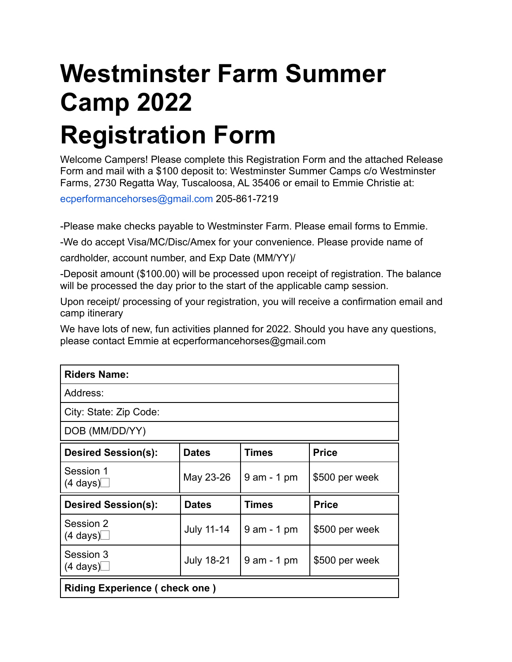## **Westminster Farm Summer Camp 2022 Registration Form**

Welcome Campers! Please complete this Registration Form and the attached Release Form and mail with a \$100 deposit to: Westminster Summer Camps c/o Westminster Farms, 2730 Regatta Way, Tuscaloosa, AL 35406 or email to Emmie Christie at:

ecperformancehorses@gmail.com 205-861-7219

-Please make checks payable to Westminster Farm. Please email forms to Emmie.

-We do accept Visa/MC/Disc/Amex for your convenience. Please provide name of

cardholder, account number, and Exp Date (MM/YY)/

-Deposit amount (\$100.00) will be processed upon receipt of registration. The balance will be processed the day prior to the start of the applicable camp session.

Upon receipt/ processing of your registration, you will receive a confirmation email and camp itinerary

We have lots of new, fun activities planned for 2022. Should you have any questions, please contact Emmie at ecperformancehorses@gmail.com

| <b>Riders Name:</b>                  |                   |                |                |
|--------------------------------------|-------------------|----------------|----------------|
| Address:                             |                   |                |                |
| City: State: Zip Code:               |                   |                |                |
| DOB (MM/DD/YY)                       |                   |                |                |
| <b>Desired Session(s):</b>           | <b>Dates</b>      | <b>Times</b>   | <b>Price</b>   |
| Session 1<br>$(4 \text{ days})$      | May 23-26         | $9$ am $-1$ pm | \$500 per week |
| <b>Desired Session(s):</b>           | <b>Dates</b>      | Times          | <b>Price</b>   |
| Session 2<br>$(4 \text{ days})$      | <b>July 11-14</b> | $9$ am $-1$ pm | \$500 per week |
| Session 3<br>$(4 \text{ days})$      | <b>July 18-21</b> | $9$ am $-1$ pm | \$500 per week |
| <b>Riding Experience (check one)</b> |                   |                |                |